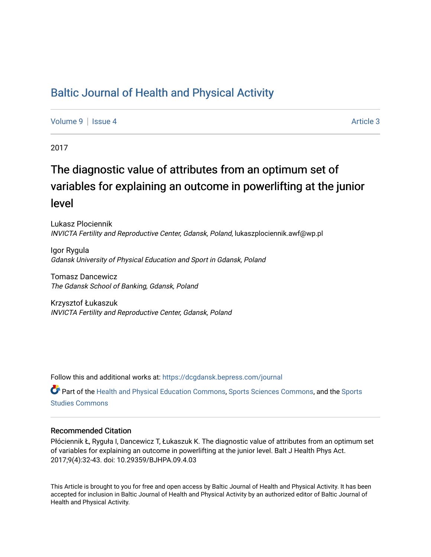## [Baltic Journal of Health and Physical Activity](https://dcgdansk.bepress.com/journal)

[Volume 9](https://dcgdansk.bepress.com/journal/vol9) | [Issue 4](https://dcgdansk.bepress.com/journal/vol9/iss4) Article 3

2017

# The diagnostic value of attributes from an optimum set of variables for explaining an outcome in powerlifting at the junior level

Lukasz Plociennik INVICTA Fertility and Reproductive Center, Gdansk, Poland, lukaszplociennik.awf@wp.pl

Igor Rygula Gdansk University of Physical Education and Sport in Gdansk, Poland

Tomasz Dancewicz The Gdansk School of Banking, Gdansk, Poland

Krzysztof Łukaszuk INVICTA Fertility and Reproductive Center, Gdansk, Poland

Follow this and additional works at: [https://dcgdansk.bepress.com/journal](https://dcgdansk.bepress.com/journal?utm_source=dcgdansk.bepress.com%2Fjournal%2Fvol9%2Fiss4%2F3&utm_medium=PDF&utm_campaign=PDFCoverPages)

Part of the [Health and Physical Education Commons](http://network.bepress.com/hgg/discipline/1327?utm_source=dcgdansk.bepress.com%2Fjournal%2Fvol9%2Fiss4%2F3&utm_medium=PDF&utm_campaign=PDFCoverPages), [Sports Sciences Commons](http://network.bepress.com/hgg/discipline/759?utm_source=dcgdansk.bepress.com%2Fjournal%2Fvol9%2Fiss4%2F3&utm_medium=PDF&utm_campaign=PDFCoverPages), and the [Sports](http://network.bepress.com/hgg/discipline/1198?utm_source=dcgdansk.bepress.com%2Fjournal%2Fvol9%2Fiss4%2F3&utm_medium=PDF&utm_campaign=PDFCoverPages)  [Studies Commons](http://network.bepress.com/hgg/discipline/1198?utm_source=dcgdansk.bepress.com%2Fjournal%2Fvol9%2Fiss4%2F3&utm_medium=PDF&utm_campaign=PDFCoverPages) 

#### Recommended Citation

Płóciennik Ł, Ryguła I, Dancewicz T, Łukaszuk K. The diagnostic value of attributes from an optimum set of variables for explaining an outcome in powerlifting at the junior level. Balt J Health Phys Act. 2017;9(4):32-43. doi: 10.29359/BJHPA.09.4.03

This Article is brought to you for free and open access by Baltic Journal of Health and Physical Activity. It has been accepted for inclusion in Baltic Journal of Health and Physical Activity by an authorized editor of Baltic Journal of Health and Physical Activity.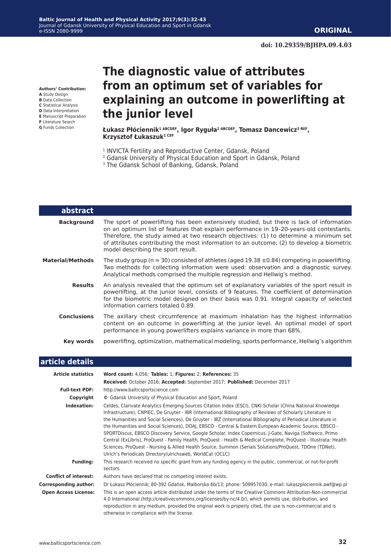**Authors' Contribution:**

**A** Study Design **B** Data Collection

- **C** Statistical Analysis
- **D** Data Interpretation
- **E** Manuscript Preparation
- **F** Literature Search
- **G** Funds Collection

ı

## **The diagnostic value of attributes from an optimum set of variables for explaining an outcome in powerlifting at the junior level**

**Łukasz Płóciennik1 ABCDEF, Igor Ryguła2 ABCDEF, Tomasz Dancewicz3 BEF, Krzysztof Łukaszuk1 CEF**

- <sup>1</sup> INVICTA Fertility and Reproductive Center, Gdansk, Poland
- 2 Gdansk University of Physical Education and Sport in Gdansk, Poland
- <sup>3</sup> The Gdansk School of Banking, Gdansk, Poland

| abstract                |                                                                                                                                                                                                                                                                                                                                                                                                                 |  |  |  |  |  |
|-------------------------|-----------------------------------------------------------------------------------------------------------------------------------------------------------------------------------------------------------------------------------------------------------------------------------------------------------------------------------------------------------------------------------------------------------------|--|--|--|--|--|
| <b>Background</b>       | The sport of powerlifting has been extensively studied, but there is lack of information<br>on an optimum list of features that explain performance in 19-20-years-old contestants.<br>Therefore, the study aimed at two research objectives: (1) to determine a minimum set<br>of attributes contributing the most information to an outcome; (2) to develop a biometric<br>model describing the sport result. |  |  |  |  |  |
| <b>Material/Methods</b> | The study group ( $n = 30$ ) consisted of athletes (aged 19.38 $\pm$ 0.84) competing in powerlifting.<br>Two methods for collecting information were used: observation and a diagnostic survey.<br>Analytical methods comprised the multiple regression and Hellwig's method.                                                                                                                                   |  |  |  |  |  |
| <b>Results</b>          | An analysis revealed that the optimum set of explanatory variables of the sport result in<br>powerlifting, at the junior level, consists of 9 features. The coefficient of determination<br>for the biometric model designed on their basis was 0.91. Integral capacity of selected<br>information carriers totaled 0.89.                                                                                       |  |  |  |  |  |
| <b>Conclusions</b>      | The axillary chest circumference at maximum inhalation has the highest information<br>content on an outcome in powerlifting at the junior level. An optimal model of sport<br>performance in young powerlifters explains variance in more than 68%.                                                                                                                                                             |  |  |  |  |  |
| Key words               | powerliftng, optimization, mathematical modeling, sports performance, Hellwig's algorithm                                                                                                                                                                                                                                                                                                                       |  |  |  |  |  |

| article details              |                                                                                                                                                                                                                                                                                                                                                                                                                                                                                                                                                                                                                                                                                                                                                                                                                                                               |  |  |  |  |  |
|------------------------------|---------------------------------------------------------------------------------------------------------------------------------------------------------------------------------------------------------------------------------------------------------------------------------------------------------------------------------------------------------------------------------------------------------------------------------------------------------------------------------------------------------------------------------------------------------------------------------------------------------------------------------------------------------------------------------------------------------------------------------------------------------------------------------------------------------------------------------------------------------------|--|--|--|--|--|
| <b>Article statistics</b>    | Word count: 4,056; Tables: 1; Figures: 2; References: 35                                                                                                                                                                                                                                                                                                                                                                                                                                                                                                                                                                                                                                                                                                                                                                                                      |  |  |  |  |  |
|                              | Received: October 2016; Accepted: September 2017; Published: December 2017                                                                                                                                                                                                                                                                                                                                                                                                                                                                                                                                                                                                                                                                                                                                                                                    |  |  |  |  |  |
| <b>Full-text PDF:</b>        | http://www.balticsportscience.com                                                                                                                                                                                                                                                                                                                                                                                                                                                                                                                                                                                                                                                                                                                                                                                                                             |  |  |  |  |  |
| Copyright                    | © Gdansk University of Physical Education and Sport, Poland                                                                                                                                                                                                                                                                                                                                                                                                                                                                                                                                                                                                                                                                                                                                                                                                   |  |  |  |  |  |
| Indexation:                  | Celdes, Clarivate Analytics Emerging Sources Citation Index (ESCI), CNKI Scholar (China National Knowledge<br>Infrastructure), CNPIEC, De Gruyter - IBR (International Bibliography of Reviews of Scholarly Literature in<br>the Humanities and Social Sciences), De Gruyter - IBZ (International Bibliography of Periodical Literature in<br>the Humanities and Social Sciences), DOAJ, EBSCO - Central & Eastern European Academic Source, EBSCO -<br>SPORTDiscus, EBSCO Discovery Service, Google Scholar, Index Copernicus, J-Gate, Naviga (Softweco, Primo<br>Central (ExLibris), ProQuest - Family Health, ProQuest - Health & Medical Complete, ProQuest - Illustrata: Health<br>Sciences, ProQuest - Nursing & Allied Health Source, Summon (Serials Solutions/ProQuest, TDOne (TDNet),<br>Ulrich's Periodicals Directory/ulrichsweb, WorldCat (OCLC) |  |  |  |  |  |
| <b>Funding:</b>              | This research received no specific grant from any funding agency in the public, commercial, or not-for-profit<br>sectors.                                                                                                                                                                                                                                                                                                                                                                                                                                                                                                                                                                                                                                                                                                                                     |  |  |  |  |  |
| <b>Conflict of interest:</b> | Authors have declared that no competing interest exists.                                                                                                                                                                                                                                                                                                                                                                                                                                                                                                                                                                                                                                                                                                                                                                                                      |  |  |  |  |  |
| <b>Corresponding author:</b> | Dr Łukasz Płóciennik; 80-392 Gdańsk, Malborska 6b/13; phone: 509957030; e-mail: lukaszplociennik.awf@wp.pl                                                                                                                                                                                                                                                                                                                                                                                                                                                                                                                                                                                                                                                                                                                                                    |  |  |  |  |  |
| <b>Open Access License:</b>  | This is an open access article distributed under the terms of the Creative Commons Attribution-Non-commercial<br>4.0 International (http://creativecommons.org/licenses/by-nc/4.0/), which permits use, distribution, and<br>reproduction in any medium, provided the original work is properly cited, the use is non-commercial and is<br>otherwise in compliance with the license.                                                                                                                                                                                                                                                                                                                                                                                                                                                                          |  |  |  |  |  |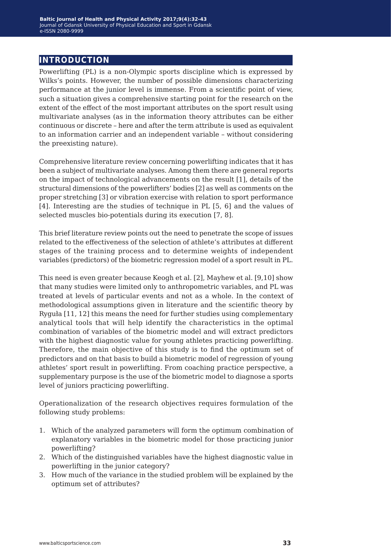## **introduction**

Powerlifting (PL) is a non-Olympic sports discipline which is expressed by Wilks's points. However, the number of possible dimensions characterizing performance at the junior level is immense. From a scientific point of view, such a situation gives a comprehensive starting point for the research on the extent of the effect of the most important attributes on the sport result using multivariate analyses (as in the information theory attributes can be either continuous or discrete – here and after the term attribute is used as equivalent to an information carrier and an independent variable – without considering the preexisting nature).

Comprehensive literature review concerning powerlifting indicates that it has been a subject of multivariate analyses. Among them there are general reports on the impact of technological advancements on the result [1], details of the structural dimensions of the powerlifters' bodies [2] as well as comments on the proper stretching [3] or vibration exercise with relation to sport performance [4]. Interesting are the studies of technique in PL [5, 6] and the values of selected muscles bio-potentials during its execution [7, 8].

This brief literature review points out the need to penetrate the scope of issues related to the effectiveness of the selection of athlete's attributes at different stages of the training process and to determine weights of independent variables (predictors) of the biometric regression model of a sport result in PL.

This need is even greater because Keogh et al. [2], Mayhew et al. [9,10] show that many studies were limited only to anthropometric variables, and PL was treated at levels of particular events and not as a whole. In the context of methodological assumptions given in literature and the scientific theory by Ryguła [11, 12] this means the need for further studies using complementary analytical tools that will help identify the characteristics in the optimal combination of variables of the biometric model and will extract predictors with the highest diagnostic value for young athletes practicing powerlifting. Therefore, the main objective of this study is to find the optimum set of predictors and on that basis to build a biometric model of regression of young athletes' sport result in powerlifting. From coaching practice perspective, a supplementary purpose is the use of the biometric model to diagnose a sports level of juniors practicing powerlifting.

Operationalization of the research objectives requires formulation of the following study problems:

- 1. Which of the analyzed parameters will form the optimum combination of explanatory variables in the biometric model for those practicing junior powerlifting?
- 2. Which of the distinguished variables have the highest diagnostic value in powerlifting in the junior category?
- 3. How much of the variance in the studied problem will be explained by the optimum set of attributes?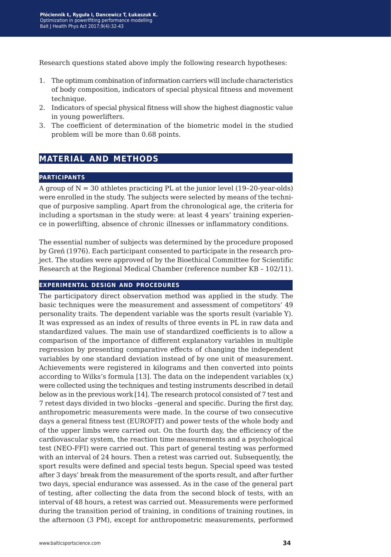Research questions stated above imply the following research hypotheses:

- 1. The optimum combination of information carriers will include characteristics of body composition, indicators of special physical fitness and movement technique.
- 2. Indicators of special physical fitness will show the highest diagnostic value in young powerlifters.
- 3. The coefficient of determination of the biometric model in the studied problem will be more than 0.68 points.

## **material and methods**

#### **participants**

A group of  $N = 30$  athletes practicing PL at the junior level (19-20-year-olds) were enrolled in the study. The subjects were selected by means of the technique of purposive sampling. Apart from the chronological age, the criteria for including a sportsman in the study were: at least 4 years' training experience in powerlifting, absence of chronic illnesses or inflammatory conditions.

The essential number of subjects was determined by the procedure proposed by Greń (1976). Each participant consented to participate in the research project. The studies were approved of by the Bioethical Committee for Scientific Research at the Regional Medical Chamber (reference number KB – 102/11).

#### **experimental design and procedures**

The participatory direct observation method was applied in the study. The basic techniques were the measurement and assessment of competitors' 49 personality traits. The dependent variable was the sports result (variable Y). It was expressed as an index of results of three events in PL in raw data and standardized values. The main use of standardized coefficients is to allow a comparison of the importance of different explanatory variables in multiple regression by presenting comparative effects of changing the independent variables by one standard deviation instead of by one unit of measurement. Achievements were registered in kilograms and then converted into points according to Wilks's formula [13]. The data on the independent variables  $(\mathrm{x}_\mathrm{i})$ were collected using the techniques and testing instruments described in detail below as in the previous work [14]. The research protocol consisted of 7 test and 7 retest days divided in two blocks –general and specific. During the first day, anthropometric measurements were made. In the course of two consecutive days a general fitness test (EUROFIT) and power tests of the whole body and of the upper limbs were carried out. On the fourth day, the efficiency of the cardiovascular system, the reaction time measurements and a psychological test (NEO-FFI) were carried out. This part of general testing was performed with an interval of 24 hours. Then a retest was carried out. Subsequently, the sport results were defined and special tests begun. Special speed was tested after 3 days' break from the measurement of the sports result, and after further two days, special endurance was assessed. As in the case of the general part of testing, after collecting the data from the second block of tests, with an interval of 48 hours, a retest was carried out. Measurements were performed during the transition period of training, in conditions of training routines, in the afternoon (3 PM), except for anthropometric measurements, performed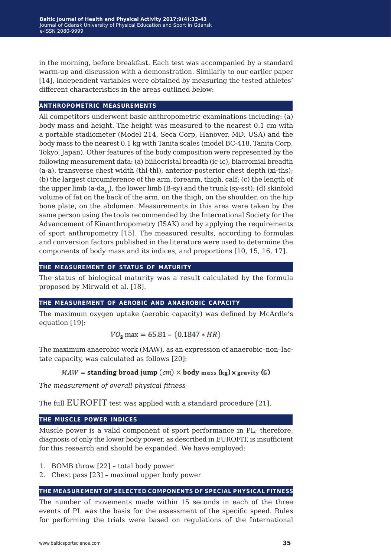in the morning, before breakfast. Each test was accompanied by a standard warm-up and discussion with a demonstration. Similarly to our earlier paper [14], independent variables were obtained by measuring the tested athletes' different characteristics in the areas outlined below:

#### **anthropometric measurements**

All competitors underwent basic anthropometric examinations including: (a) body mass and height. The height was measured to the nearest 0.1 cm with a portable stadiometer (Model 214, Seca Corp, Hanover, MD, USA) and the body mass to the nearest 0.1 kg with Tanita scales (model BC-418, Tanita Corp, Tokyo, Japan). Other features of the body composition were represented by the following measurement data: (a) biiliocristal breadth (ic-ic), biacromial breadth (a-a), transverse chest width (thl-thl), anterior-posterior chest depth (xi-ths); (b) the largest circumference of the arm, forearm, thigh, calf; (c) the length of the upper limb (a-da<sub>III</sub>), the lower limb (B-sy) and the trunk (sy-sst); (d) skinfold volume of fat on the back of the arm, on the thigh, on the shoulder, on the hip bone plate, on the abdomen. Measurements in this area were taken by the same person using the tools recommended by the International Society for the Advancement of Kinanthropometry (ISAK) and by applying the requirements of sport anthropometry [15]. The measured results, according to formulas and conversion factors published in the literature were used to determine the components of body mass and its indices, and proportions [10, 15, 16, 17].

#### **the measurement of status of maturity**

The status of biological maturity was a result calculated by the formula proposed by Mirwald et al. [18].

#### **the measurement of aerobic and anaerobic capacity**

The maximum oxygen uptake (aerobic capacity) was defined by McArdle's equation [19]:

$$
VO2 max = 65.81 - (0.1847 * HR)
$$

The maximum anaerobic work (MAW), as an expression of anaerobic–non–lactate capacity, was calculated as follows [20]:

#### $MAW =$  standing broad jump  $(cm) \times$  body mass  $(kg) \times$  gravity (G)

*The measurement of overall physical fitness*

The full EUROFIT test was applied with a standard procedure [21].

#### **the muscle power indices**

Muscle power is a valid component of sport performance in PL; therefore, diagnosis of only the lower body power, as described in EUROFIT, is insufficient for this research and should be expanded. We have employed:

- 1. BOMB throw [22] total body power
- 2. Chest pass [23] maximal upper body power

#### **the measurement of selected components of special physical fitness**

The number of movements made within 15 seconds in each of the three events of PL was the basis for the assessment of the specific speed. Rules for performing the trials were based on regulations of the International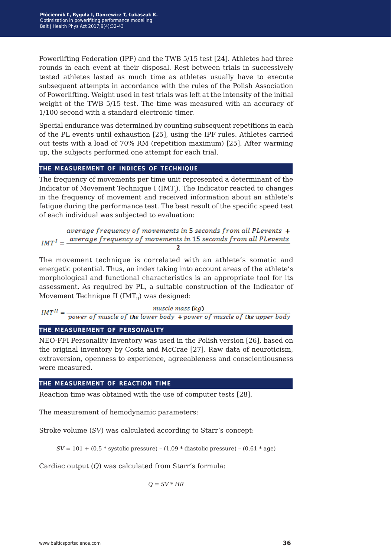Powerlifting Federation (IPF) and the TWB 5/15 test [24]. Athletes had three rounds in each event at their disposal. Rest between trials in successively tested athletes lasted as much time as athletes usually have to execute subsequent attempts in accordance with the rules of the Polish Association of Powerlifting. Weight used in test trials was left at the intensity of the initial weight of the TWB 5/15 test. The time was measured with an accuracy of 1/100 second with a standard electronic timer.

Special endurance was determined by counting subsequent repetitions in each of the PL events until exhaustion [25], using the IPF rules. Athletes carried out tests with a load of 70% RM (repetition maximum) [25]. After warming up, the subjects performed one attempt for each trial.

#### **the measurement of indices of technique**

The frequency of movements per time unit represented a determinant of the Indicator of Movement Technique I (IMT<sub>I</sub>). The Indicator reacted to changes in the frequency of movement and received information about an athlete's fatigue during the performance test. The best result of the specific speed test of each individual was subjected to evaluation:

average frequency of movements in 5 seconds from all PLevents +  $IMT<sup>I</sup> = \frac{average frequency of movements in 15 seconds from all PLevents}{P = 1000}$ 

The movement technique is correlated with an athlete's somatic and energetic potential. Thus, an index taking into account areas of the athlete's morphological and functional characteristics is an appropriate tool for its assessment. As required by PL, a suitable construction of the Indicator of Movement Technique II ( $IMT<sub>II</sub>$ ) was designed:

$$
IMT^{II} = \frac{mucle \; mass \; (kg)}{power \; of \; muscle \; of \; the \; lower \; body + power \; of \; muscle \; of \; the \; upper \; body}
$$

#### **the measurement of personality**

NEO-FFI Personality Inventory was used in the Polish version [26], based on the original inventory by Costa and McCrae [27]. Raw data of neuroticism, extraversion, openness to experience, agreeableness and conscientiousness were measured.

#### **the measurement of reaction time**

Reaction time was obtained with the use of computer tests [28].

The measurement of hemodynamic parameters:

Stroke volume (*SV*) was calculated according to Starr's concept:

*SV* =  $101 + (0.5 * systolic pressure) - (1.09 * diastolic pressure) - (0.61 * age)$ 

Cardiac output (*Q*) was calculated from Starr's formula:

 $Q = SV * HR$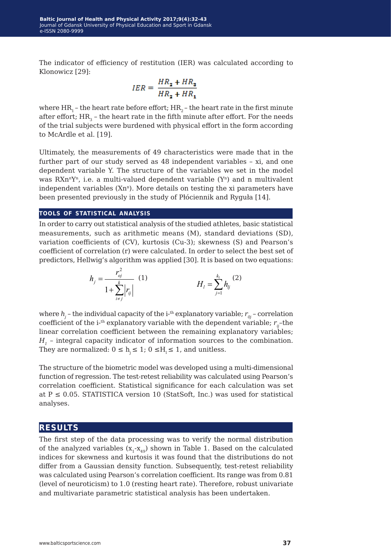The indicator of efficiency of restitution (IER) was calculated according to Klonowicz [29]:

$$
IER = \frac{HR_2 + HR_3}{HR_2 + HR_1}
$$

where  $HR_1$  – the heart rate before effort;  $HR_2$  – the heart rate in the first minute after effort;  $HR_{3}$  – the heart rate in the fifth minute after effort. For the needs of the trial subjects were burdened with physical effort in the form according to McArdle et al. [19].

Ultimately, the measurements of 49 characteristics were made that in the further part of our study served as 48 independent variables - xi, and one dependent variable Y. The structure of the variables we set in the model was  $RXn^nY^n$ , i.e. a multi-valued dependent variable  $(Y^n)$  and n multivalent independent variables  $(Xn<sup>n</sup>)$ . More details on testing the xi parameters have been presented previously in the study of Płóciennik and Ryguła [14].

#### **tools of statistical analysis**

In order to carry out statistical analysis of the studied athletes, basic statistical measurements, such as arithmetic means (M), standard deviations (SD), variation coefficients of (CV), kurtosis (Cu-3); skewness (S) and Pearson's coefficient of correlation (r) were calculated. In order to select the best set of predictors, Hellwig's algorithm was applied [30]. It is based on two equations:

$$
h_{j} = \frac{r_{oj}^{2}}{1 + \sum_{i \neq j}^{k} |r_{ij}|} \tag{1}
$$

where  $h_{\!_j}$  – the individual capacity of the i-<sup>th</sup> explanatory variable;  $r_{_{0j}}$  – correlation coefficient of the i-<sup>th</sup> explanatory variable with the dependent variable;  $r_{ii}$ -the linear correlation coefficient between the remaining explanatory variables; *H1* – integral capacity indicator of information sources to the combination. They are normalized:  $0 \le h \le 1$ ;  $0 \le H_1 \le 1$ , and unitless.

The structure of the biometric model was developed using a multi-dimensional function of regression. The test-retest reliability was calculated using Pearson's correlation coefficient. Statistical significance for each calculation was set at  $P \le 0.05$ . STATISTICA version 10 (StatSoft, Inc.) was used for statistical analyses.

#### **results**

The first step of the data processing was to verify the normal distribution of the analyzed variables  $(x_1-x_{40})$  shown in Table 1. Based on the calculated indices for skewness and kurtosis it was found that the distributions do not differ from a Gaussian density function. Subsequently, test-retest reliability was calculated using Pearson's correlation coefficient. Its range was from 0.81 (level of neuroticism) to 1.0 (resting heart rate). Therefore, robust univariate and multivariate parametric statistical analysis has been undertaken.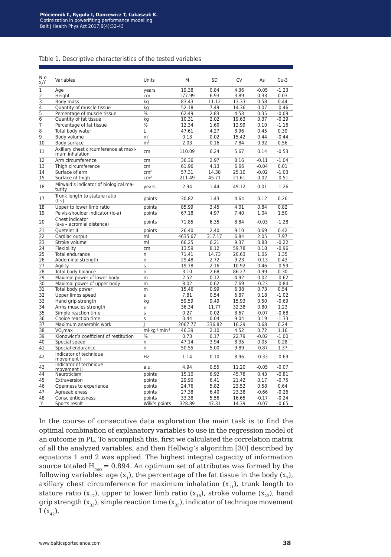#### Table 1. Descriptive characteristics of the tested variables

| Νo<br>x/Y      | Variables                                               | Units           | M       | <b>SD</b> | CV    | As      | $Cu-3$  |
|----------------|---------------------------------------------------------|-----------------|---------|-----------|-------|---------|---------|
| $\overline{1}$ | Age                                                     | years           | 19.38   | 0.84      | 4.36  | $-0.05$ | $-1.23$ |
|                | Height                                                  | cm              | 177.99  | 6.93      | 3.89  | 0.33    | 0.03    |
| $\frac{2}{3}$  | Body mass                                               | kg              | 83.43   | 11.12     | 13.33 | 0.58    | 0.44    |
| 4              | Quantity of muscle tissue                               | kg              | 52.18   | 7.49      | 14.36 | 0.07    | $-0.46$ |
| 5              | Percentage of muscle tissue                             | %               | 62.49   | 2.83      | 4.53  | 0.35    | $-0.09$ |
| $\overline{6}$ | Quantity of fat tissue                                  | kg              | 10.31   | 2.02      | 19.63 | 0.37    | $-0.29$ |
| 7              | Percentage of fat tissue                                | $\%$            | 12.34   | 1.60      | 12.99 | 0.10    | $-1.16$ |
| 8              | Total body water                                        | Г               | 47.61   | 4.27      | 8.96  | 0.45    | 0.39    |
| $\overline{9}$ | Body volume                                             | m <sup>3</sup>  | 0.13    | 0.02      | 15.42 | 0.44    | $-0.44$ |
| 10             | Body surface                                            | m <sup>2</sup>  | 2.03    | 0.16      | 7.84  | 0.32    | 0.56    |
| 11             | Axillary chest circumference at maxi-<br>mum inhalation | cm              | 110.09  | 6.24      | 5.67  | 0.14    | $-0.53$ |
| 12             | Arm circumference                                       | cm              | 36.36   | 2.97      | 8.16  | $-0.11$ | $-1.04$ |
| 13             | Thigh circumference                                     | cm              | 61.96   | 4.13      | 6.66  | $-0.04$ | 0.01    |
| 14             | Surface of arm                                          | cm <sup>2</sup> | 57.31   | 14.38     | 25.10 | $-0.02$ | $-1.03$ |
| 15             | Surface of thigh                                        | cm <sup>2</sup> | 211.49  | 45.71     | 21.61 | 0.02    | $-0.51$ |
| 18             | Mirwald's indicator of biological ma-<br>turity         | years           | 2.94    | 1.44      | 49.12 | 0.01    | $-1.26$ |
| 17             | Trunk length to stature ratio<br>$(t-v)$                | points          | 30.82   | 1.43      | 4.64  | 0.12    | 0.26    |
| 18             | Upper to lower limb ratio                               | points          | 85.99   | 3.45      | 4.01  | 0.84    | 0.82    |
| 19             | Pelvis-shoulder indicator (ic-a)                        | points          | 67.18   | 4.97      | 7.40  | 1.04    | 1.50    |
| 20             | Chest indicator<br>(a-a - acromial distance)            | points          | 71.85   | 6.35      | 8.84  | $-0.03$ | $-1.28$ |
| 21             | Quetelet II                                             | points          | 26.40   | 2.40      | 9.10  | 0.69    | 0.42    |
| 22             | Cardiac output                                          | ml              | 4635.67 | 317.17    | 6.84  | 2.05    | 7.97    |
| 23             | Stroke volume                                           | ml              | 66.25   | 6.21      | 9.37  | 0.83    | $-0.22$ |
| 24             | Flexibility                                             | cm              | 13.59   | 8.12      | 59.78 | 0.18    | $-0.96$ |
| 25             | Total endurance                                         | n               | 71.41   | 14.73     | 20.63 | 1.05    | 1.35    |
| 26             | Abdominal strength                                      | n               | 29.48   | 2.72      | 9.23  | $-0.13$ | 0.43    |
| 27             | Agility                                                 | S               | 19.78   | 2.16      | 10.92 | 0.46    | $-0.59$ |
| 28             | Total body balance                                      | n               | 3.10    | 2.68      | 86.27 | 0.99    | 0.30    |
| 29             | Maximal power of lower body                             | m               | 2.52    | 0.12      | 4.92  | 0.02    | $-0.62$ |
| 30             | Maximal power of upper body                             | m               | 8.02    | 0.62      | 7.69  | $-0.23$ | $-0.84$ |
| 31             | Total body power                                        | m               | 15.46   | 0.99      | 6.38  | 0.73    | 0.54    |
| 32             | Upper limbs speed                                       | S               | 7.81    | 0.54      | 6.87  | 0.18    | $-1.02$ |
| 33             | Hand grip strength                                      | kg              | 59.59   | 9.49      | 15.93 | 0.50    | $-0.69$ |
| 34             | Arms muscles strength                                   | S               | 36.34   | 11.77     | 32.38 | 0.80    | 1.23    |
| 35             | Simple reaction time                                    | S               | 0.27    | 0.02      | 8.67  | $-0.07$ | $-0.68$ |
| 36             | Choice reaction time                                    | S               | 0.44    | 0.04      | 9.04  | 0.19    | $-1.33$ |
| 37             | Maximum anaerobic work                                  |                 | 2067.77 | 336.82    | 16.29 | 0.68    | 0.24    |
| 38             | VO <sub>2</sub> max                                     | $ml·kq-1·min-1$ | 46.39   | 2.10      | 4.52  | 0.72    | 1.16    |
| 39             | Klonowicz's coefficient of restitution                  | $\%$            | 0.73    | 0.17      | 22.79 | $-0.02$ | $-1.00$ |
| 40             | Special speed                                           | n               | 47.14   | 3.94      | 8.35  | 0.05    | 0.28    |
| 41             | Special endurance                                       | n               | 50.55   | 5.00      | 9.89  | $-0.87$ | 1.37    |
| 42             | Indicator of technique<br>movement I                    | Hz              | 1.14    | 0.10      | 8.96  | $-0.33$ | $-0.69$ |
| 43             | Indicator of technique<br>movement II                   | a.u.            | 4.94    | 0.55      | 11.20 | $-0.05$ | $-0.07$ |
| 44             | Neuroticism                                             | points          | 15.10   | 6.92      | 45.78 | 0.43    | $-0.81$ |
| 45             | Extraversion                                            | points          | 29.90   | 6.41      | 21.42 | 0.17    | $-0.75$ |
| 46             | Openness to experience                                  | points          | 24.76   | 5.82      | 23.52 | 0.58    | 0.64    |
| 47             | Agreeableness                                           | points          | 27.38   | 6.40      | 23.38 | $-0.66$ | $-0.26$ |
| 48             | Conscientiousness                                       | points          | 33.38   | 5.56      | 16.65 | $-0.17$ | $-0.24$ |
| Υ              | Sports result                                           | Wilk's points   | 328.89  | 47.31     | 14.39 | $-0.07$ | $-0.65$ |

In the course of consecutive data exploration the main task is to find the optimal combination of explanatory variables to use in the regression model of an outcome in PL. To accomplish this, first we calculated the correlation matrix of all the analyzed variables, and then Hellwig's algorithm [30] described by equations 1 and 2 was applied. The highest integral capacity of information source totaled  $H_{max} = 0.894$ . An optimum set of attributes was formed by the following variables: age  $(x_1)$ , the percentage of the fat tissue in the body  $(x_7)$ , axillary chest circumference for maximum inhalation  $(x_{11})$ , trunk length to stature ratio ( $x_{17}$ ), upper to lower limb ratio ( $x_{18}$ ), stroke volume ( $x_{23}$ ), hand grip strength  $(x_{33})$ , simple reaction time  $(x_{35})$ , indicator of technique movement  $I(x_{42}).$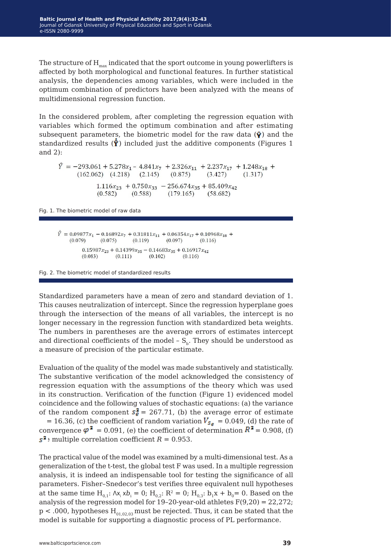The structure of  $H_{max}$  indicated that the sport outcome in young powerlifters is affected by both morphological and functional features. In further statistical analysis, the dependencies among variables, which were included in the optimum combination of predictors have been analyzed with the means of multidimensional regression function.

In the considered problem, after completing the regression equation with variables which formed the optimum combination and after estimating subsequent parameters, the biometric model for the raw data  $(\hat{\mathbf{y}})$  and the standardized results  $(\hat{\mathbf{y}})$  included just the additive components (Figures 1 and 2):

 $\hat{Y} = -293.061 + 5.278x_1 - 4.841x_7 + 2.326x_{11} + 2.237x_{17} + 1.248x_{18} +$  $(162.062)$   $(4.218)$   $(2.145)$  $(0.875)$  $(3.427)$  $(1, 317)$  $1.116x_{23} + 0.750x_{33} - 256.674x_{35} + 85.409x_{42}$  $(0.582)$  $(0.588)$  $(179.165)$  $(58.682)$ 

Fig. 1. The biometric model of raw data

 $\hat{Y} = 0.09877x_1 - 0.16892x_7 + 0.31811x_{11} + 0.06354x_{17} + 0.10968x_{18} +$  $(0.079)$  $(0.075)$  $(0.119)$  $(0.097)$  $(0.116)$  $0.15987x_{23} + 0.14399x_{35} - 0.14683x_{35} + 0.16917x_{42}$  $(0.083)$  $(0.111)$  $(0.102)$  $(0.116)$ 

Fig. 2. The biometric model of standardized results

Standardized parameters have a mean of zero and standard deviation of 1. This causes neutralization of intercept. Since the regression hyperplane goes through the intersection of the means of all variables, the intercept is no longer necessary in the regression function with standardized beta weights. The numbers in parentheses are the average errors of estimates intercept and directional coefficients of the model -  $S_h$ . They should be understood as a measure of precision of the particular estimate.

Evaluation of the quality of the model was made substantively and statistically. The substantive verification of the model acknowledged the consistency of regression equation with the assumptions of the theory which was used in its construction. Verification of the function (Figure 1) evidenced model coincidence and the following values of stochastic equations: (a) the variance of the random component  $s_e^2 = 267.71$ , (b) the average error of estimate = 16.36, (c) the coefficient of random variation  $V_{s_{\epsilon}} = 0.049$ , (d) the rate of convergence  $\varphi^2$  = 0.091, (e) the coefficient of determination  $R^2$  = 0.908, (f)  $s^2$  multiple correlation coefficient *R* = 0.953.

The practical value of the model was examined by a multi-dimensional test. As a generalization of the t-test, the global test F was used. In a multiple regression analysis, it is indeed an indispensable tool for testing the significance of all parameters. Fisher–Snedecor's test verifies three equivalent null hypotheses at the same time  $H_{0,1}$ :  $\Delta x_i \times b_i = 0$ ;  $H_{0,2}$ :  $R^2 = 0$ ;  $H_{0,3}$ :  $b_1x + b_0 = 0$ . Based on the analysis of the regression model for 19–20-year-old athletes F(9,20) = 22,272;  $p < .000$ , hypotheses  $H_{01,02,03}$  must be rejected. Thus, it can be stated that the model is suitable for supporting a diagnostic process of PL performance.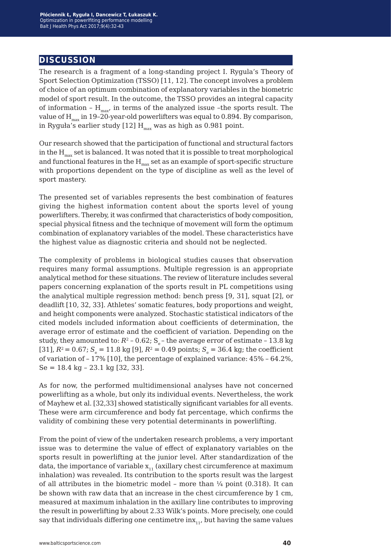### **discussion**

The research is a fragment of a long-standing project I. Rygula's Theory of Sport Selection Optimization (TSSO) [11, 12]. The concept involves a problem of choice of an optimum combination of explanatory variables in the biometric model of sport result. In the outcome, the TSSO provides an integral capacity of information -  $H_{\text{max}}$ , in terms of the analyzed issue -the sports result. The value of  $H_{max}$  in 19-20-year-old powerlifters was equal to 0.894. By comparison, in Ryguła's earlier study [12]  $\mathbf{H}_{\text{max}}$  was as high as 0.981 point.

Our research showed that the participation of functional and structural factors in the  $H_{max}$  set is balanced. It was noted that it is possible to treat morphological and functional features in the  $H_{max}$  set as an example of sport-specific structure with proportions dependent on the type of discipline as well as the level of sport mastery.

The presented set of variables represents the best combination of features giving the highest information content about the sports level of young powerlifters. Thereby, it was confirmed that characteristics of body composition, special physical fitness and the technique of movement will form the optimum combination of explanatory variables of the model. These characteristics have the highest value as diagnostic criteria and should not be neglected.

The complexity of problems in biological studies causes that observation requires many formal assumptions. Multiple regression is an appropriate analytical method for these situations. The review of literature includes several papers concerning explanation of the sports result in PL competitions using the analytical multiple regression method: bench press [9, 31], squat [2], or deadlift [10, 32, 33]. Athletes' somatic features, body proportions and weight, and height components were analyzed. Stochastic statistical indicators of the cited models included information about coefficients of determination, the average error of estimate and the coefficient of variation. Depending on the study, they amounted to:  $R^2$  – 0.62; S<sub>e</sub> – the average error of estimate – 13.8 kg [31],  $R^2 = 0.67$ ;  $S_e = 11.8$  kg [9],  $R^2 = 0.49$  points;  $S_e = 36.4$  kg; the coefficient of variation of – 17% [10], the percentage of explained variance: 45% – 64.2%, Se = 18.4 kg – 23.1 kg [32, 33].

As for now, the performed multidimensional analyses have not concerned powerlifting as a whole, but only its individual events. Nevertheless, the work of Mayhew et al. [32,33] showed statistically significant variables for all events. These were arm circumference and body fat percentage, which confirms the validity of combining these very potential determinants in powerlifting.

From the point of view of the undertaken research problems, a very important issue was to determine the value of effect of explanatory variables on the sports result in powerlifting at the junior level. After standardization of the data, the importance of variable  $x_{11}$  (axillary chest circumference at maximum inhalation) was revealed. Its contribution to the sports result was the largest of all attributes in the biometric model – more than  $\frac{1}{4}$  point (0.318). It can be shown with raw data that an increase in the chest circumference by 1 cm, measured at maximum inhalation in the axillary line contributes to improving the result in powerlifting by about 2.33 Wilk's points. More precisely, one could say that individuals differing one centimetre  $inx_{11}$ , but having the same values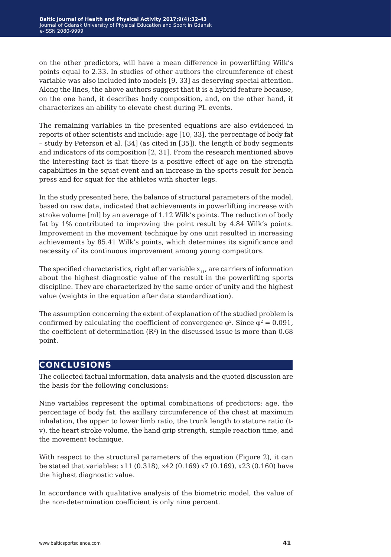on the other predictors, will have a mean difference in powerlifting Wilk's points equal to 2.33. In studies of other authors the circumference of chest variable was also included into models [9, 33] as deserving special attention. Along the lines, the above authors suggest that it is a hybrid feature because, on the one hand, it describes body composition, and, on the other hand, it characterizes an ability to elevate chest during PL events.

The remaining variables in the presented equations are also evidenced in reports of other scientists and include: age [10, 33], the percentage of body fat – study by Peterson et al. [34] (as cited in [35]), the length of body segments and indicators of its composition [2, 31]. From the research mentioned above the interesting fact is that there is a positive effect of age on the strength capabilities in the squat event and an increase in the sports result for bench press and for squat for the athletes with shorter legs.

In the study presented here, the balance of structural parameters of the model, based on raw data, indicated that achievements in powerlifting increase with stroke volume [ml] by an average of 1.12 Wilk's points. The reduction of body fat by 1% contributed to improving the point result by 4.84 Wilk's points. Improvement in the movement technique by one unit resulted in increasing achievements by 85.41 Wilk's points, which determines its significance and necessity of its continuous improvement among young competitors.

The specified characteristics, right after variable  $x_{11}$ , are carriers of information about the highest diagnostic value of the result in the powerlifting sports discipline. They are characterized by the same order of unity and the highest value (weights in the equation after data standardization).

The assumption concerning the extent of explanation of the studied problem is confirmed by calculating the coefficient of convergence  $\varphi^2$ . Since  $\varphi^2 = 0.091$ , the coefficient of determination  $(R^2)$  in the discussed issue is more than 0.68 point.

## **conclusions**

The collected factual information, data analysis and the quoted discussion are the basis for the following conclusions:

Nine variables represent the optimal combinations of predictors: age, the percentage of body fat, the axillary circumference of the chest at maximum inhalation, the upper to lower limb ratio, the trunk length to stature ratio (tv), the heart stroke volume, the hand grip strength, simple reaction time, and the movement technique.

With respect to the structural parameters of the equation (Figure 2), it can be stated that variables: x11 (0.318), x42 (0.169) x7 (0.169), x23 (0.160) have the highest diagnostic value.

In accordance with qualitative analysis of the biometric model, the value of the non-determination coefficient is only nine percent.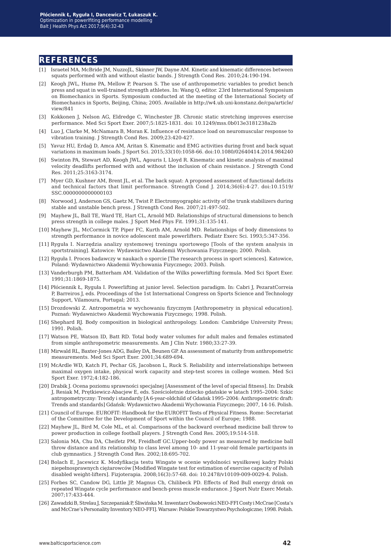#### **references**

- [1] Israetel MA, McBride JM, NuzzoJL, Skinner JW, Dayne AM. Kinetic and kinematic differences between squats performed with and without elastic bands. J Strength Cond Res. 2010;24:190-194.
- [2] Keogh JWL, Hume PA, Mellow P, Pearson S. The use of anthropometric variables to predict bench press and squat in well-trained strength athletes. In: Wang Q, editor. 23rd International Symposium on Biomechanics in Sports. Symposium conducted at the meeting of the International Society of Biomechanics in Sports, Beijing, China; 2005. Available in http://w4.ub.uni-konstanz.de/cpa/article/ view/841
- [3] Kokkonen J, Nelson AG, Eldredge C, Winchester JB. Chronic static stretching improves exercise performance. Med Sci Sport Exer. 2007;5:1825-1831. doi: 10.1249/mss.0b013e3181238a2b
- [4] Luo J, Clarke M, McNamara B, Moran K. Influence of resistance load on neuromuscular response to vibration training. J Strength Cond Res. 2009;23:420-427.
- [5] Yavuz HU, Erdağ D, Amca AM, Aritan S. Kinematic and EMG activities during front and back squat variations in maximum loads. J Sport Sci. 2015;33(10):1058-66. doi:10.1080/02640414.2014.984240
- [6] Swinton PA, Stewart AD, Keogh JWL, Agouris I, Lloyd R. Kinematic and kinetic analysis of maximal velocity deadlifts performed with and without the inclusion of chain resistance. J Strength Cond Res. 2011;25:3163-3174.
- [7] Myer GD, Kushner AM, Brent JL, et al. The back squat: A proposed assessment of functional deficits and technical factors that limit performance. Strength Cond J. 2014;36(6):4-27. doi:10.1519/ SSC.0000000000000103
- [8] Norwood J, Anderson GS, Gaetz M, Twist P. Electromyographic activity of the trunk stabilizers during stable and unstable bench press. J Strength Cond Res. 2007;21:497-502.
- [9] Mayhew JL, Ball TE, Ward TE, Hart CL, Arnold MD. Relationships of structural dimensions to bench press strength in college males. J Sport Med Phys Fit. 1991;31:135-141.
- [10] Mayhew JL, McCormick TP, Piper FC, Kurth AM, Arnold MD. Relationships of body dimensions to strength performance in novice adolescent male powerlifters. Pediatr Exerc Sci. 1993;5:347-356.
- [11] Ryguła I. Narzędzia analizy systemowej treningu sportowego [Tools of the system analysis in sportstraining]. Katowice: Wydawnictwo Akademii Wychowania Fizycznego; 2000. Polish.
- [12] Ryguła I. Proces badawczy w naukach o sporcie [The research process in sport sciences]. Katowice, Poland: Wydawnictwo Akademii Wychowania Fizycznego; 2003. Polish.
- [13] Vanderburgh PM, Batterham AM. Validation of the Wilks powerlifting formula. Med Sci Sport Exer. 1991;31:1869-1875.
- [14] Płóciennik Ł, Ryguła I. Powerlifting at junior level. Selection paradigm. In: Cabri J, PezaratCorreia P, Barreiros J, eds. Proceedings of the 1st International Congress on Sports Science and Technology Support, Vilamoura, Portugal; 2013.
- [15] Drozdowski Z. Antropometria w wychowaniu fizycznym [Anthropometry in physical education]. Poznań: Wydawnictwo Akademii Wychowania Fizycznego; 1998. Polish.
- [16] Shephard RJ. Body composition in biological anthropology. London: Cambridge University Press; 1991. Polish.
- [17] Watson PE, Watson ID, Batt RD. Total body water volumes for adult males and females estimated from simple anthropometric measurements. Am J Clin Nutr. 1980;33:27-39.
- [18] Mirwald RL, Baxter-Jones ADG, Bailey DA, Beunen GP. An assessment of maturity from anthropometric measurements. Med Sci Sport Exer. 2001;34:689-694.
- [19] McArdle WD, Katch FI, Pechar GS, Jacobson L, Ruck S. Reliability and interrelationships between maximal oxygen intake, physical work capacity and step-test scores in college women. Med Sci Sport Exer. 1972;4:182-186.
- [20] Drabik J. Ocena poziomu sprawności specjalnej [Assessment of the level of special fitness]. In: Drabik J, Resiak M, Prętkiewicz-Abacjew E, eds. Sześcioletnie dziecko gdańskie w latach 1995–2004: Szkic antropometryczny: Trendy i standardy [A 6-year-oldchild of Gdańsk 1995–2004: Anthropometric draft: Trends and standards] Gdańsk: Wydawnictwo Akademii Wychowania Fizycznego; 2007, 14-16. Polish.
- [21] Council of Europe. EUROFIT: Handbook for the EUROFIT Tests of Physical Fitness. Rome: Secretariat of the Committee for the Development of Sport within the Council of Europe; 1988.
- [22] Mayhew JL, Bird M, Cole ML, et al. Comparisons of the backward overhead medicine ball throw to power production in college football players. J Strength Cond Res. 2005;19:514-518.
- [23] Salonia MA, Chu DA, Cheifetz PM, Freidhoff GC.Upper-body power as measured by medicine ball throw distance and its relationship to class level among 10- and 11-year-old female participants in club gymnastics. J Strength Cond Res. 2002;18:695-702.
- [24] Bolach E, Jacewicz K. Modyfikacja testu Wingate w ocenie wydolności wysiłkowej kadry Polski niepełnosprawnych ciężarowców [Modified Wingate test for estimation of exercise capacity of Polish disabled weight-lifters]. Fizjoterapia. 2008;16(3):57-68. doi: 10.2478/v10109-009-0029-4. Polish.
- [25] Forbes SC, Candow DG, Little JP, Magnus Ch, Chilibeck PD. Effects of Red Bull energy drink on repeated Wingate cycle performance and bench-press muscle endurance. J Sport Nutr Exerc Metab. 2007;17:433-444.
- [26] Zawadzki B, Strelau J, Szczepaniak P, Śliwińska M. Inwentarz Osobowości NEO-FFI Costy i McCrae [Costa's and McCrae's Personality Inventory NEO-FFI]. Warsaw: Polskie Towarzystwo Psychologiczne; 1998. Polish.